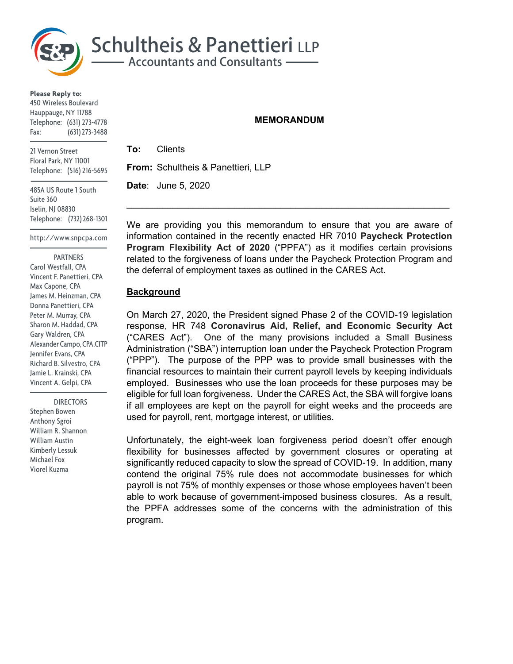

**Please Reply to:** 450 Wireless Boulevard Hauppauge, NY 11788 Telephone: (631) 273-4778 Fax: (631) 273-3488

21 Vernon Street Floral Park, NY 11001 Telephone: (516) 216-5695

485A US Route 1 South Suite 360 Iselin, NJ 08830 Telephone: (732) 268-1301

http://www.snpcpa.com

 PARTNERS Carol Westfall, CPA Vincent F. Panettieri, CPA Max Capone, CPA James M. Heinzman, CPA Donna Panettieri, CPA Peter M. Murray, CPA Sharon M. Haddad, CPA Gary Waldren, CPA Alexander Campo, CPA.CITP Jennifer Evans, CPA Richard B. Silvestro, CPA Jamie L. Krainski, CPA Vincent A. Gelpi, CPA

 DIRECTORS Stephen Bowen Anthony Sgroi William R. Shannon William Austin Kimberly Lessuk Michael Fox Viorel Kuzma

## **MEMORANDUM**

**To:** Clients **From:** Schultheis & Panettieri, LLP

 $\mathcal{L}_\text{max} = \mathcal{L}_\text{max} = \mathcal{L}_\text{max} = \mathcal{L}_\text{max} = \mathcal{L}_\text{max} = \mathcal{L}_\text{max} = \mathcal{L}_\text{max} = \mathcal{L}_\text{max} = \mathcal{L}_\text{max} = \mathcal{L}_\text{max} = \mathcal{L}_\text{max} = \mathcal{L}_\text{max} = \mathcal{L}_\text{max} = \mathcal{L}_\text{max} = \mathcal{L}_\text{max} = \mathcal{L}_\text{max} = \mathcal{L}_\text{max} = \mathcal{L}_\text{max} = \mathcal{$ 

**Date**: June 5, 2020

We are providing you this memorandum to ensure that you are aware of information contained in the recently enacted HR 7010 **Paycheck Protection Program Flexibility Act of 2020** ("PPFA") as it modifies certain provisions related to the forgiveness of loans under the Paycheck Protection Program and the deferral of employment taxes as outlined in the CARES Act.

## **Background**

On March 27, 2020, the President signed Phase 2 of the COVID-19 legislation response, HR 748 **Coronavirus Aid, Relief, and Economic Security Act**  ("CARES Act"). One of the many provisions included a Small Business Administration ("SBA") interruption loan under the Paycheck Protection Program ("PPP"). The purpose of the PPP was to provide small businesses with the financial resources to maintain their current payroll levels by keeping individuals employed. Businesses who use the loan proceeds for these purposes may be eligible for full loan forgiveness. Under the CARES Act, the SBA will forgive loans if all employees are kept on the payroll for eight weeks and the proceeds are used for payroll, rent, mortgage interest, or utilities.

Unfortunately, the eight-week loan forgiveness period doesn't offer enough flexibility for businesses affected by government closures or operating at significantly reduced capacity to slow the spread of COVID-19. In addition, many contend the original 75% rule does not accommodate businesses for which payroll is not 75% of monthly expenses or those whose employees haven't been able to work because of government-imposed business closures. As a result, the PPFA addresses some of the concerns with the administration of this program.